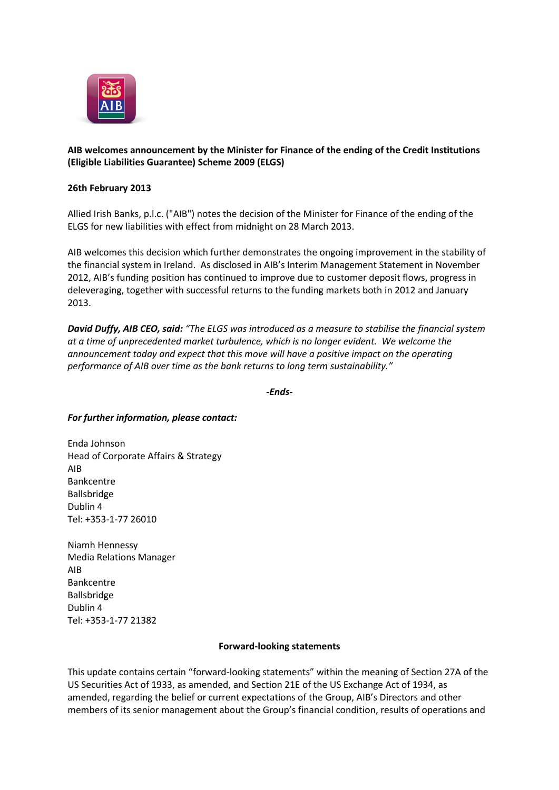

## **AIB welcomes announcement by the Minister for Finance of the ending of the Credit Institutions (Eligible Liabilities Guarantee) Scheme 2009 (ELGS)**

## **26th February 2013**

Allied Irish Banks, p.l.c. ("AIB") notes the decision of the Minister for Finance of the ending of the ELGS for new liabilities with effect from midnight on 28 March 2013.

AIB welcomes this decision which further demonstrates the ongoing improvement in the stability of the financial system in Ireland. As disclosed in AIB's Interim Management Statement in November 2012, AIB's funding position has continued to improve due to customer deposit flows, progress in deleveraging, together with successful returns to the funding markets both in 2012 and January 2013.

*David Duffy, AIB CEO, said: "The ELGS was introduced as a measure to stabilise the financial system at a time of unprecedented market turbulence, which is no longer evident. We welcome the announcement today and expect that this move will have a positive impact on the operating performance of AIB over time as the bank returns to long term sustainability."* 

*-Ends-*

## *For further information, please contact:*

Enda Johnson Head of Corporate Affairs & Strategy AIB Bankcentre Ballsbridge Dublin 4 Tel: +353-1-77 26010

Niamh Hennessy Media Relations Manager AIB Bankcentre Ballsbridge Dublin 4 Tel: +353-1-77 21382

## **Forward-looking statements**

This update contains certain "forward-looking statements" within the meaning of Section 27A of the US Securities Act of 1933, as amended, and Section 21E of the US Exchange Act of 1934, as amended, regarding the belief or current expectations of the Group, AIB's Directors and other members of its senior management about the Group's financial condition, results of operations and